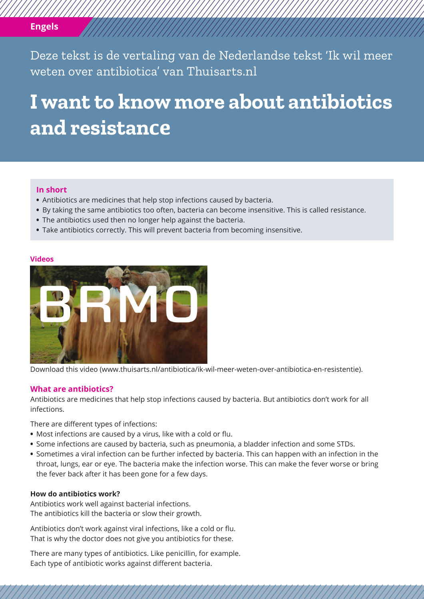# **Engels**

Deze tekst is de vertaling van de Nederlandse tekst 'Ik wil meer weten over antibiotica' van Thuisarts.nl

# **I want to know more about antibiotics and resistance**

## **In short**

- **•** Antibiotics are medicines that help stop infections caused by bacteria.
- **•** By taking the same antibiotics too often, bacteria can become insensitive. This is called resistance.
- **•** The antibiotics used then no longer help against the bacteria.
- **•** Take antibiotics correctly. This will prevent bacteria from becoming insensitive.

#### **Videos**



Download this video (www.thuisarts.nl/antibiotica/ik-wil-meer-weten-over-antibiotica-en-resistentie).

### **What are antibiotics?**

Antibiotics are medicines that help stop infections caused by bacteria. But antibiotics don't work for all infections.

There are different types of infections:

- **•** Most infections are caused by a virus, like with a cold or flu.
- **•** Some infections are caused by bacteria, such as pneumonia, a bladder infection and some STDs.
- **•** Sometimes a viral infection can be further infected by bacteria. This can happen with an infection in the throat, lungs, ear or eye. The bacteria make the infection worse. This can make the fever worse or bring the fever back after it has been gone for a few days.

# **How do antibiotics work?**

Antibiotics work well against bacterial infections. The antibiotics kill the bacteria or slow their growth.

Antibiotics don't work against viral infections, like a cold or flu. That is why the doctor does not give you antibiotics for these.

There are many types of antibiotics. Like penicillin, for example. Each type of antibiotic works against different bacteria.